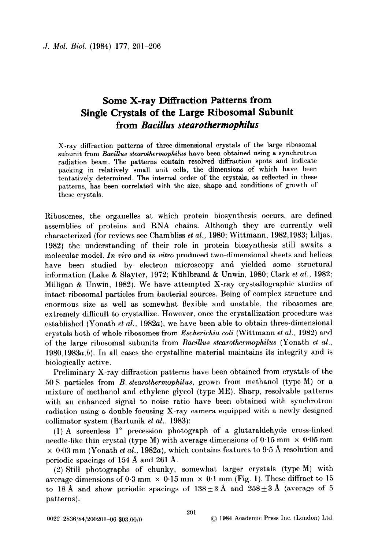## Some X-ray Diffraction Patterns from Single Crystals of the Large Ribosomal Subunit from Bacillus stearothermophilus

X-ray diffraction patterns of three-dimensional crystals of the large ribosomal subunit from Bacillus stearothermophilus have been obtained using a synchrotron radiation beam. The patterns contain resolved diffraction spots and indicate packing in relatively small unit cells, the dimensions of which have been tentatively determined. The internal order of the crystals, as reflected in these patterns, has been correlated with the size, shape and conditions of growth of these crystals.

Ribosomes, the organelles at which protein biosynthesis occurs, are defined assemblies of proteins and RNA chains. Although they are currently well characterized (for reviews see Chambliss et al., 1980; Wittmann, 1982,1983; Liljas, 1982) the understanding of their role in protein biosynthesis still awaits a molecular model. In vivo and in vitro produced two-dimensional sheets and helices have been studied by electron microscopy and yielded some structural information (Lake & Slayter, 1972; Kühlbrand & Unwin, 1980; Clark et al., 1982; Milligan & Unwin, 1982). We have attempted X-ray crystallographic studies of intact ribosomal particles from bacterial sources. Being of complex structure and enormous size as well as somewhat flexible and unstable, the ribosomes are extremely difficult to crystallize. However, once the crystallization procedure was established (Yonath et al., 1982a), we have been able to obtain three-dimensional crystals both of whole ribosomes from Escherichia coli (Wittmann et al., 1982) and of the large ribosomal subunits from Bacillus stearothermophilus (Yonath et al.,  $1980,1983a,b$ . In all cases the crystalline material maintains its integrity and is biologically active.

Preliminary X-ray diffraction patterns have been obtained from crystals of the 50 S particles from B. stearothermophilus, grown from methanol (type M) or a mixture of methanol and ethylene glycol (type ME). Sharp, resolvable patterns with an enhanced signal to noise ratio have been obtained with synchrotron radiation using a double focusing X-ray camera equipped with a newly designed collimator system (Bartunik et al., 1983):

(1) A screenless 1' precession photograph of a glutaraldehyde cross-linked needle-like thin crystal (type M) with average dimensions of  $0.15$  mm  $\times$   $0.05$  mm  $\times$  0.03 mm (Yonath et al., 1982a), which contains features to 9.5 Å resolution and periodic spacings of  $154 \text{ Å}$  and  $261 \text{ Å}$ .

(2) Still photographs of chunky, somewhat larger crystals (type M) with average dimensions of 0.3 mm  $\times$  0.15 mm  $\times$  0.1 mm (Fig. 1). These diffract to 15 to 18 Å and show periodic spacings of  $138 \pm 3$  Å and  $258 \pm 3$  Å (average of 5 patterns).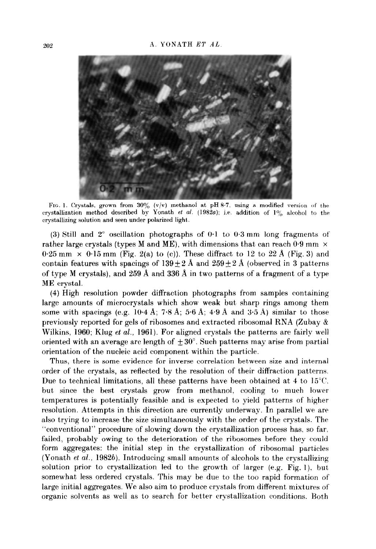

FIG. 1. Crystals, grown from  $30\%$  (v/v) methanol at pH 8.7, using a modified version of the crystallization method described by Yonath *et al.* (1982*a*); i.e. addition of  $1\%$  alcohol to the crystallizing solution and seen under polarized light.

(3) Still and  $2^{\circ}$  oscillation photographs of 0.1 to 0.3 mm long fragments of rather large crystals (types M and ME), with dimensions that can reach  $0.9 \text{ mm} \times$  $0.25$  mm  $\times$   $0.15$  mm (Fig. 2(a) to (c)). These diffract to 12 to 22 Å (Fig. 3) and contain features with spacings of  $139 \pm 2$  Å and  $259 \pm 2$  Å (observed in 3 patterns of type M crystals), and 259 Å and 336 Å in two patterns of a fragment of a type ME crystal.

(4) High resolution powder diffraction photographs from samples containing large amounts of microcrystals which show weak but sharp rings among them some with spacings (e.g.  $10.4$  Å;  $7.8$  Å;  $5.6$  Å;  $4.9$  Å and  $3.5$  Å) similar to those previously reported for gels of ribosomes and extracted ribosomal RNA (Zubay & Wilkins, 1960; Klug et al., 1961). For aligned crystals the patterns are fairly well oriented with an average arc length of  $\pm 30^{\circ}$ . Such patterns may arise from partial orientation of the nucleic acid component within the particle.

Thus, there is some evidence for inverse correlation between size and internal order of the crystals, as reflected by the resolution of their diffraction patterns. Due to technical limitations, all these patterns have been obtained at 4 to  $15^{\circ}$ C. but since the best crystals grow from methanol, cooling to much lower temperatures is potentially feasible and is expected to yield patterns of higher resolution. Attempts in this direction are currently underway. In parallel we are also trying to increase the size simultaneously with the order of the crystals. The "conventional" procedure of slowing down the crystallization process has. so far. failed, probably owing to the deterioration of the ribosomes before they could form aggregates: the initial step in the crystallization of ribosomal particles (Yonath et al., 1982b). Introducing small amounts of alcohols to the crystallizing solution prior to crystallization led to the growth of larger (e.g. Fig. 1). but somewhat less ordered crystals. This may be due to the too rapid formation of large initial aggregates. We also aim to produce crystals from different mixtures of organic solvents as well as to search for better crystallization conditions. Both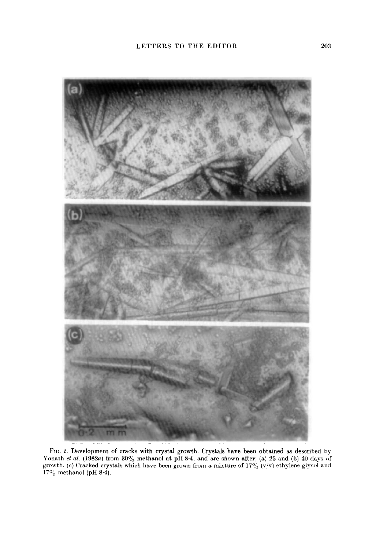

FIG. 2. Development of cracks with crystal growth. Crystals have been obtained as described Yonath *et al.* (1982a) from 30% methanol at pH 8.4, and are shown after; (a) 25 and (b) 40 days growth. (c) Cracked crystals which have been grown from a mixture of 17% (v/v) ethylene glycol a 17% methanol (pH 8.4). by. i of md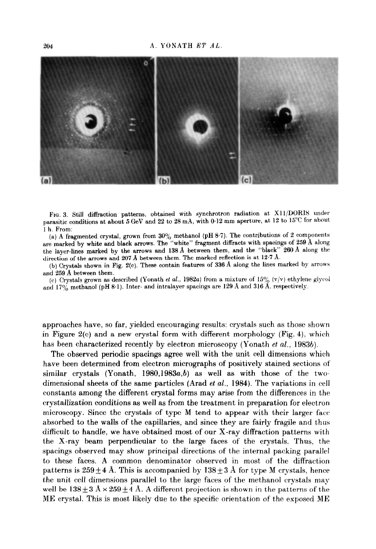

FIG. 3. Still diffraction patterns, obtained with synchrotron radiation at X11/DORIS under parasitic conditions at about 5 GeV and 22 to 28 mA, with 0.12 mm aperture, at 12 to 15°C for about 1 h. From:

(a) A fragmented crystal, grown from  $30\%$  methanol (pH 8.7). The contributions of 2 components are marked by white and black arrows. The "white" fragment diffracts with spacings of 259 A along the layer-lines marked by the arrows and 138 A between them, and the "black" 260 A along the direction of the arrows and 207 A between them. The marked reflection is at 12.7 A.

(b) Crystals shown in Fig. 2(c). These contain features of 336 A along the lines marked by arrows and 259 A between them.

(c) Crystals grown as described (Yonath et al., 1982a) from a mixture of  $15\%$  (v/v) ethylene glycol and 17% methanol (pH 8.1). Inter- and intralayer spacings are 129 Å and 316 Å, respectively.

approaches have, so far, yielded encouraging results: crystals such as those shown in Figure  $2(c)$  and a new crystal form with different morphology (Fig. 4), which has been characterized recently by electron microscopy (Yonath et al., 1983b).

The observed periodic spacings agree well with the unit cell dimensions which have been determined from electron micrographs of positively stained sections of similar crystals (Yonath,  $1980,1983a,b$ ) as well as with those of the twodimensional sheets of the same particles (Arad *et al.*, 1984). The variations in cell constants among the different crystal forms may arise from the differences in the crystallization conditions as well as from the treatment in preparation for electron microscopy. Since the crystals of type M tend to appear with their larger face absorbed to the walls of the capillaries, and since they are fairly fragile and thus difficult to handle, we have obtained most of our X-ray diffraction patterns with the X-ray beam perpendicular to the large faces of the crystals. Thus, the spacings observed may show principal directions of the internal packing parallel to these faces. A common denominator observed in most of the diffraction patterns is  $259 \pm 4$  Å. This is accompanied by  $138 \pm 3$  Å for type M crystals, hence the unit cell dimensions parallel to the large faces of the methanol crystals may well be  $138\pm3\text{ Å}\times259\pm4\text{ Å}$ . A different projection is shown in the patterns of the ME crystal. This is most likely due to the specific orientation of the exposed ME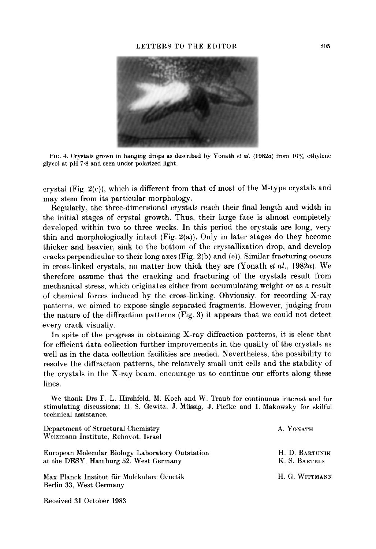

FIG. 4. Crystals grown in hanging drops as described by Yonath et al. (1982a) from  $10\%$  ethylene glycol at  $pH$  7.8 and seen under polarized light.

crystal (Fig. 2(c)), which is different from that of most of the M-type crystals and may stem from its particular morphology.

Regularly, the three-dimensional crystals reach their final length and width in the initial stages of crystal growth. Thus, their large face is almost completely developed within two to three weeks. In this period the crystals are long, very thin and morphologically intact  $(Fig. 2(a))$ . Only in later stages do they become thicker and heavier, sink to the bottom of the crystallization drop, and develop cracks perpendicular to their long axes (Fig. 2(b) and (c)). Similar fracturing occurs in cross-linked crystals, no matter how thick they are (Yonath et al., 1982a). We therefore assume that the cracking and fracturing of the crystals result from mechanical stress, which originates either from accumulating weight or as a result of chemical forces induced by the cross-linking. Obviously, for recording X-ray patterns, we aimed to expose single separated fragments. However, judging from the nature of the diffraction patterns (Fig. 3) it appears that we could not detect every crack visually.

In spite of the progress in obtaining X-ray diffraction patterns, it is clear that for efficient data collection further improvements in the quality of the crystals as well as in the data collection facilities are needed. Nevertheless, the possibility to resolve the diffraction patterns, the relatively small unit cells and the stability of the crystals in the X-ray beam, encourage us to continue our efforts along these lines.

We thank Drs F. L. Hirshfeld, M. Koch and W. Traub for continuous interest and for stimulating discussions; H. S. Gewitz. J. Miissig, J. Piefke and I. Makowsky for skilful technical assistance.

| Department of Structural Chemistry<br>Weizmann Institute, Rehovot, Israel                 | A. YONATH                       |
|-------------------------------------------------------------------------------------------|---------------------------------|
| European Molecular Biology Laboratory Outstation<br>at the DESY, Hamburg 52, West Germany | H. D. BARTUNIK<br>K. S. BARTELS |
| Max Planck Institut für Molekulare Genetik<br>Berlin 33, West Germany                     | H. G. WITTMANN                  |

Received 31 October 1983